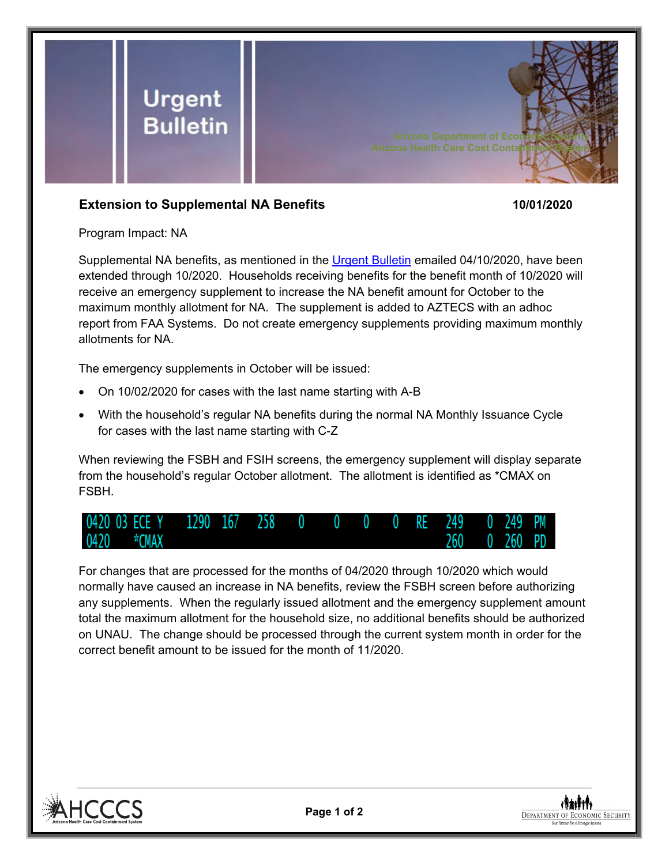

## **Extension to Supplemental NA Benefits 10/01/2020**

Program Impact: NA

Supplemental NA benefits, as mentioned in the [Urgent Bulletin](https://dbmefaapolicy.azdes.gov/FAA5/baggage/Urgent%20Bulletin%20(04-10-2020)%20-%20Supplemental%20Nutrition%20Assistance%20Benefits%20for%20Participants.pdf) emailed 04/10/2020, have been extended through 10/2020. Households receiving benefits for the benefit month of 10/2020 will receive an emergency supplement to increase the NA benefit amount for October to the maximum monthly allotment for NA. The supplement is added to AZTECS with an adhoc report from FAA Systems. Do not create emergency supplements providing maximum monthly allotments for NA.

The emergency supplements in October will be issued:

- On 10/02/2020 for cases with the last name starting with A-B
- With the household's regular NA benefits during the normal NA Monthly Issuance Cycle for cases with the last name starting with C-Z

When reviewing the FSBH and FSIH screens, the emergency supplement will display separate from the household's regular October allotment. The allotment is identified as \*CMAX on FSBH.



For changes that are processed for the months of 04/2020 through 10/2020 which would normally have caused an increase in NA benefits, review the FSBH screen before authorizing any supplements. When the regularly issued allotment and the emergency supplement amount total the maximum allotment for the household size, no additional benefits should be authorized on UNAU. The change should be processed through the current system month in order for the correct benefit amount to be issued for the month of 11/2020.